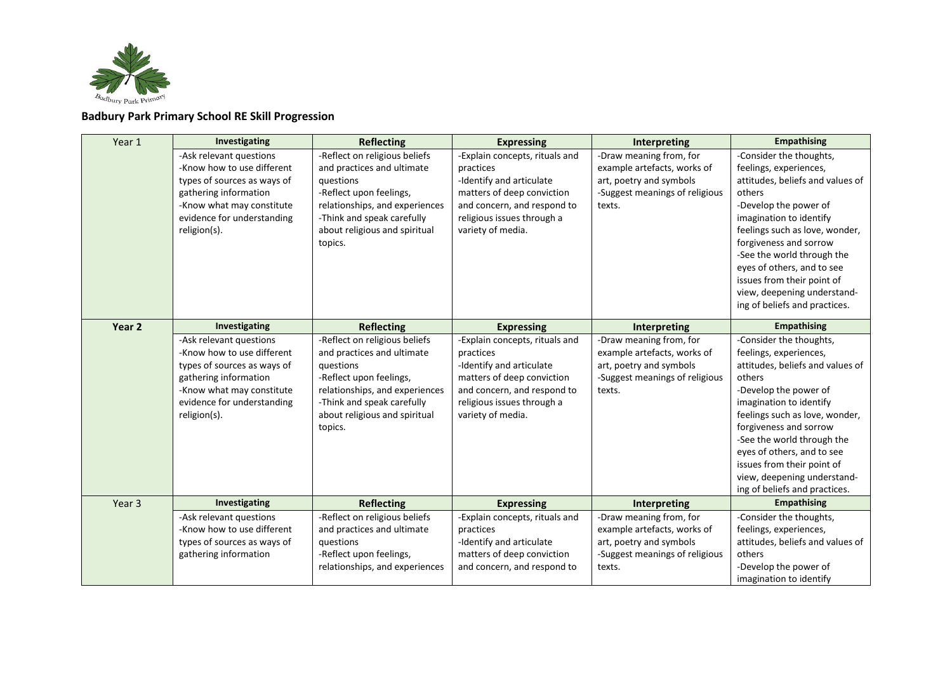

## **Badbury Park Primary School RE Skill Progression**

| Year 1 | Investigating                                                                                                                                                                            | <b>Reflecting</b>                                                                                                                                                                                               | <b>Expressing</b>                                                                                                                                                                       | Interpreting                                                                                                                  | <b>Empathising</b>                                                                                                                                                                                                                                                                                                                                                        |  |  |
|--------|------------------------------------------------------------------------------------------------------------------------------------------------------------------------------------------|-----------------------------------------------------------------------------------------------------------------------------------------------------------------------------------------------------------------|-----------------------------------------------------------------------------------------------------------------------------------------------------------------------------------------|-------------------------------------------------------------------------------------------------------------------------------|---------------------------------------------------------------------------------------------------------------------------------------------------------------------------------------------------------------------------------------------------------------------------------------------------------------------------------------------------------------------------|--|--|
|        | -Ask relevant questions<br>-Know how to use different<br>types of sources as ways of<br>gathering information<br>-Know what may constitute<br>evidence for understanding<br>religion(s). | -Reflect on religious beliefs<br>and practices and ultimate<br>questions<br>-Reflect upon feelings,<br>relationships, and experiences<br>-Think and speak carefully<br>about religious and spiritual<br>topics. | -Explain concepts, rituals and<br>practices<br>-Identify and articulate<br>matters of deep conviction<br>and concern, and respond to<br>religious issues through a<br>variety of media. | -Draw meaning from, for<br>example artefacts, works of<br>art, poetry and symbols<br>-Suggest meanings of religious<br>texts. | -Consider the thoughts,<br>feelings, experiences,<br>attitudes, beliefs and values of<br>others<br>-Develop the power of<br>imagination to identify<br>feelings such as love, wonder,<br>forgiveness and sorrow<br>-See the world through the<br>eyes of others, and to see<br>issues from their point of<br>view, deepening understand-<br>ing of beliefs and practices. |  |  |
| Year 2 | Investigating                                                                                                                                                                            | <b>Reflecting</b>                                                                                                                                                                                               | <b>Expressing</b>                                                                                                                                                                       | Interpreting                                                                                                                  | <b>Empathising</b>                                                                                                                                                                                                                                                                                                                                                        |  |  |
|        | -Ask relevant questions<br>-Know how to use different<br>types of sources as ways of<br>gathering information<br>-Know what may constitute<br>evidence for understanding<br>religion(s). | -Reflect on religious beliefs<br>and practices and ultimate<br>questions<br>-Reflect upon feelings,<br>relationships, and experiences<br>-Think and speak carefully<br>about religious and spiritual<br>topics. | -Explain concepts, rituals and<br>practices<br>-Identify and articulate<br>matters of deep conviction<br>and concern, and respond to<br>religious issues through a<br>variety of media. | -Draw meaning from, for<br>example artefacts, works of<br>art, poetry and symbols<br>-Suggest meanings of religious<br>texts. | -Consider the thoughts,<br>feelings, experiences,<br>attitudes, beliefs and values of<br>others<br>-Develop the power of<br>imagination to identify<br>feelings such as love, wonder,<br>forgiveness and sorrow<br>-See the world through the<br>eyes of others, and to see<br>issues from their point of<br>view, deepening understand-<br>ing of beliefs and practices. |  |  |
| Year 3 | Investigating                                                                                                                                                                            | <b>Reflecting</b>                                                                                                                                                                                               | <b>Expressing</b>                                                                                                                                                                       | Interpreting                                                                                                                  | <b>Empathising</b>                                                                                                                                                                                                                                                                                                                                                        |  |  |
|        | -Ask relevant questions<br>-Know how to use different<br>types of sources as ways of<br>gathering information                                                                            | -Reflect on religious beliefs<br>and practices and ultimate<br>questions<br>-Reflect upon feelings,<br>relationships, and experiences                                                                           | -Explain concepts, rituals and<br>practices<br>-Identify and articulate<br>matters of deep conviction<br>and concern, and respond to                                                    | -Draw meaning from, for<br>example artefacts, works of<br>art, poetry and symbols<br>-Suggest meanings of religious<br>texts. | -Consider the thoughts,<br>feelings, experiences,<br>attitudes, beliefs and values of<br>others<br>-Develop the power of<br>imagination to identify                                                                                                                                                                                                                       |  |  |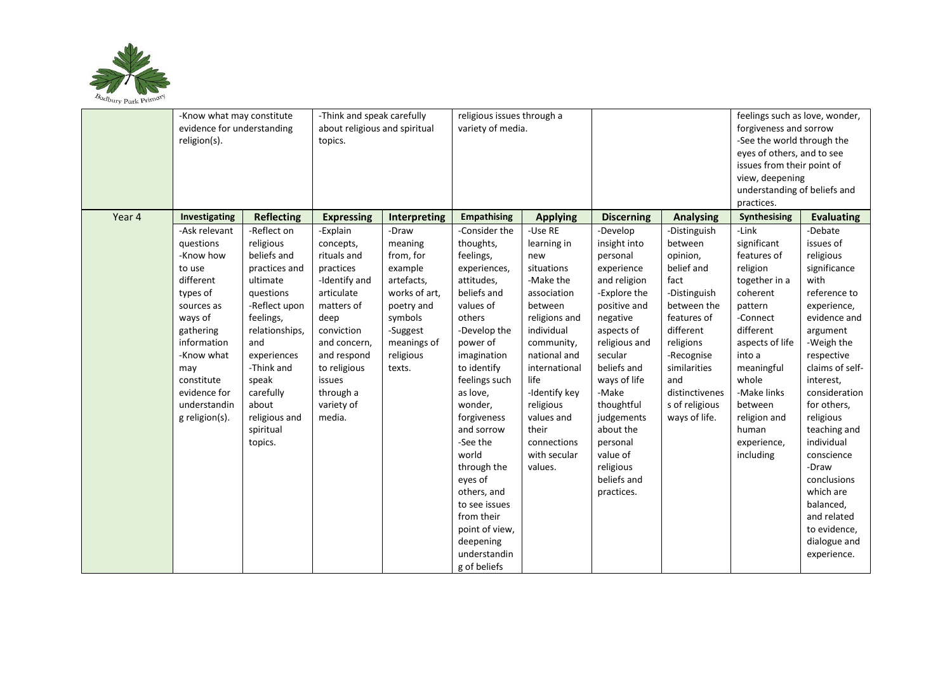

|        | -Know what may constitute  |                   | -Think and speak carefully    |               | religious issues through a |                 |                   |                  | feelings such as love, wonder, |                   |
|--------|----------------------------|-------------------|-------------------------------|---------------|----------------------------|-----------------|-------------------|------------------|--------------------------------|-------------------|
|        | evidence for understanding |                   | about religious and spiritual |               | variety of media.          |                 |                   |                  | forgiveness and sorrow         |                   |
|        | religion(s).               |                   | topics.                       |               |                            |                 |                   |                  | -See the world through the     |                   |
|        |                            |                   |                               |               |                            |                 |                   |                  | eyes of others, and to see     |                   |
|        |                            |                   |                               |               |                            |                 |                   |                  | issues from their point of     |                   |
|        |                            |                   |                               |               |                            |                 |                   |                  | view, deepening                |                   |
|        |                            |                   |                               |               |                            |                 |                   |                  | understanding of beliefs and   |                   |
|        |                            |                   |                               |               |                            |                 |                   |                  | practices.                     |                   |
| Year 4 | Investigating              | <b>Reflecting</b> | <b>Expressing</b>             | Interpreting  | <b>Empathising</b>         | <b>Applying</b> | <b>Discerning</b> | <b>Analysing</b> | Synthesising                   | <b>Evaluating</b> |
|        | -Ask relevant              | -Reflect on       | -Explain                      | -Draw         | -Consider the              | -Use RE         | -Develop          | -Distinguish     | -Link                          | -Debate           |
|        | questions                  | religious         | concepts,                     | meaning       | thoughts,                  | learning in     | insight into      | between          | significant                    | issues of         |
|        | -Know how                  | beliefs and       | rituals and                   | from, for     | feelings,                  | new             | personal          | opinion,         | features of                    | religious         |
|        | to use                     | practices and     | practices                     | example       | experiences,               | situations      | experience        | belief and       | religion                       | significance      |
|        | different                  | ultimate          | -Identify and                 | artefacts,    | attitudes,                 | -Make the       | and religion      | fact             | together in a                  | with              |
|        | types of                   | questions         | articulate                    | works of art, | beliefs and                | association     | -Explore the      | -Distinguish     | coherent                       | reference to      |
|        | sources as                 | -Reflect upon     | matters of                    | poetry and    | values of                  | between         | positive and      | between the      | pattern                        | experience,       |
|        | ways of                    | feelings,         | deep                          | symbols       | others                     | religions and   | negative          | features of      | -Connect                       | evidence and      |
|        | gathering                  | relationships,    | conviction                    | -Suggest      | -Develop the               | individual      | aspects of        | different        | different                      | argument          |
|        | information                | and               | and concern,                  | meanings of   | power of                   | community,      | religious and     | religions        | aspects of life                | -Weigh the        |
|        | -Know what                 | experiences       | and respond                   | religious     | imagination                | national and    | secular           | -Recognise       | into a                         | respective        |
|        | may                        | -Think and        | to religious                  | texts.        | to identify                | international   | beliefs and       | similarities     | meaningful                     | claims of self-   |
|        | constitute                 | speak             | issues                        |               | feelings such              | life            | ways of life      | and              | whole                          | interest,         |
|        | evidence for               | carefully         | through a                     |               | as love,                   | -Identify key   | -Make             | distinctivenes   | -Make links                    | consideration     |
|        | understandin               | about             | variety of                    |               | wonder,                    | religious       | thoughtful        | s of religious   | between                        | for others,       |
|        | g religion(s).             | religious and     | media.                        |               | forgiveness                | values and      | judgements        | ways of life.    | religion and                   | religious         |
|        |                            | spiritual         |                               |               | and sorrow                 | their           | about the         |                  | human                          | teaching and      |
|        |                            | topics.           |                               |               | -See the                   | connections     | personal          |                  | experience,                    | individual        |
|        |                            |                   |                               |               | world                      | with secular    | value of          |                  | including                      | conscience        |
|        |                            |                   |                               |               | through the                | values.         | religious         |                  |                                | -Draw             |
|        |                            |                   |                               |               | eyes of                    |                 | beliefs and       |                  |                                | conclusions       |
|        |                            |                   |                               |               | others, and                |                 | practices.        |                  |                                | which are         |
|        |                            |                   |                               |               | to see issues              |                 |                   |                  |                                | balanced,         |
|        |                            |                   |                               |               | from their                 |                 |                   |                  |                                | and related       |
|        |                            |                   |                               |               | point of view,             |                 |                   |                  |                                | to evidence,      |
|        |                            |                   |                               |               | deepening                  |                 |                   |                  |                                | dialogue and      |
|        |                            |                   |                               |               | understandin               |                 |                   |                  |                                | experience.       |
|        |                            |                   |                               |               | g of beliefs               |                 |                   |                  |                                |                   |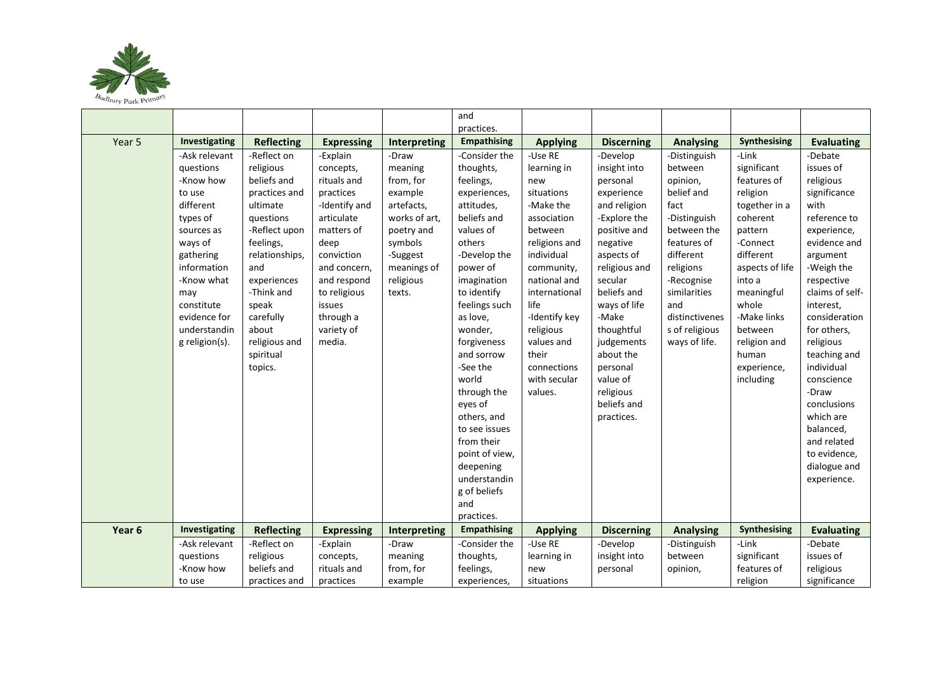

|        |                |                   |                   |                     | and                |                 |                   |                  |                 |                   |
|--------|----------------|-------------------|-------------------|---------------------|--------------------|-----------------|-------------------|------------------|-----------------|-------------------|
|        |                |                   |                   |                     | practices.         |                 |                   |                  |                 |                   |
| Year 5 | Investigating  | <b>Reflecting</b> | <b>Expressing</b> | <b>Interpreting</b> | <b>Empathising</b> | <b>Applying</b> | <b>Discerning</b> | <b>Analysing</b> | Synthesising    | <b>Evaluating</b> |
|        | -Ask relevant  | -Reflect on       | -Explain          | -Draw               | -Consider the      | -Use RE         | -Develop          | -Distinguish     | -Link           | -Debate           |
|        | questions      | religious         | concepts,         | meaning             | thoughts,          | learning in     | insight into      | between          | significant     | issues of         |
|        | -Know how      | beliefs and       | rituals and       | from, for           | feelings,          | new             | personal          | opinion,         | features of     | religious         |
|        | to use         | practices and     | practices         | example             | experiences,       | situations      | experience        | belief and       | religion        | significance      |
|        | different      | ultimate          | -Identify and     | artefacts,          | attitudes,         | -Make the       | and religion      | fact             | together in a   | with              |
|        | types of       | questions         | articulate        | works of art,       | beliefs and        | association     | -Explore the      | -Distinguish     | coherent        | reference to      |
|        | sources as     | -Reflect upon     | matters of        | poetry and          | values of          | between         | positive and      | between the      | pattern         | experience,       |
|        | ways of        | feelings,         | deep              | symbols             | others             | religions and   | negative          | features of      | -Connect        | evidence and      |
|        | gathering      | relationships,    | conviction        | -Suggest            | -Develop the       | individual      | aspects of        | different        | different       | argument          |
|        | information    | and               | and concern,      | meanings of         | power of           | community,      | religious and     | religions        | aspects of life | -Weigh the        |
|        | -Know what     | experiences       | and respond       | religious           | imagination        | national and    | secular           | -Recognise       | into a          | respective        |
|        | may            | -Think and        | to religious      | texts.              | to identify        | international   | beliefs and       | similarities     | meaningful      | claims of self-   |
|        | constitute     | speak             | issues            |                     | feelings such      | life            | ways of life      | and              | whole           | interest,         |
|        | evidence for   | carefully         | through a         |                     | as love,           | -Identify key   | -Make             | distinctivenes   | -Make links     | consideration     |
|        | understandin   | about             | variety of        |                     | wonder,            | religious       | thoughtful        | s of religious   | between         | for others,       |
|        | g religion(s). | religious and     | media.            |                     | forgiveness        | values and      | judgements        | ways of life.    | religion and    | religious         |
|        |                | spiritual         |                   |                     | and sorrow         | their           | about the         |                  | human           | teaching and      |
|        |                | topics.           |                   |                     | -See the           | connections     | personal          |                  | experience,     | individual        |
|        |                |                   |                   |                     | world              | with secular    | value of          |                  | including       | conscience        |
|        |                |                   |                   |                     | through the        | values.         | religious         |                  |                 | -Draw             |
|        |                |                   |                   |                     | eyes of            |                 | beliefs and       |                  |                 | conclusions       |
|        |                |                   |                   |                     | others, and        |                 | practices.        |                  |                 | which are         |
|        |                |                   |                   |                     | to see issues      |                 |                   |                  |                 | balanced,         |
|        |                |                   |                   |                     | from their         |                 |                   |                  |                 | and related       |
|        |                |                   |                   |                     | point of view,     |                 |                   |                  |                 | to evidence,      |
|        |                |                   |                   |                     | deepening          |                 |                   |                  |                 | dialogue and      |
|        |                |                   |                   |                     | understandin       |                 |                   |                  |                 | experience.       |
|        |                |                   |                   |                     | g of beliefs       |                 |                   |                  |                 |                   |
|        |                |                   |                   |                     | and                |                 |                   |                  |                 |                   |
|        |                |                   |                   |                     | practices.         |                 |                   |                  |                 |                   |
| Year 6 | Investigating  | <b>Reflecting</b> | <b>Expressing</b> | Interpreting        | <b>Empathising</b> | <b>Applying</b> | <b>Discerning</b> | <b>Analysing</b> | Synthesising    | <b>Evaluating</b> |
|        | -Ask relevant  | -Reflect on       | -Explain          | -Draw               | -Consider the      | -Use RE         | -Develop          | -Distinguish     | -Link           | -Debate           |
|        | questions      | religious         | concepts,         | meaning             | thoughts,          | learning in     | insight into      | between          | significant     | issues of         |
|        | -Know how      | beliefs and       | rituals and       | from, for           | feelings,          | new             | personal          | opinion,         | features of     | religious         |
|        | to use         | practices and     | practices         | example             | experiences,       | situations      |                   |                  | religion        | significance      |